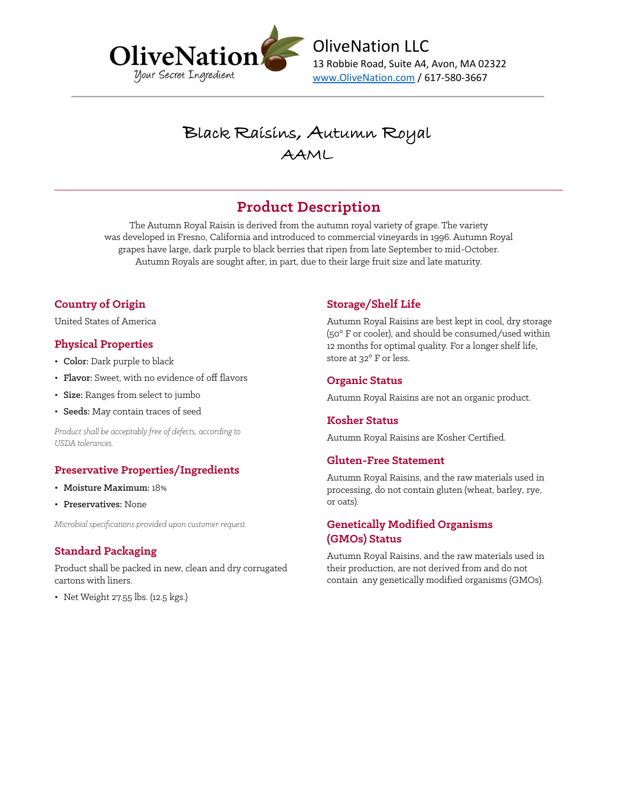

Black Raisins, Autumn Royal AAML

## **Product Description**

The Autumn Royal Raisin is derived from the autumn royal variety of grape. The variety was developed in Fresno, California and introduced to commercial vineyards in 1996. Autumn Royal grapes have large, dark purple to black berries that ripen from late September to mid-October. Autumn Royals are sought after, in part, due to their large fruit size and late maturity.

### **Country of Origin**

United States of America

#### **Physical Properties**

- Color: Dark purple to black
- Flavor: Sweet, with no evidence of off flavors
- Size: Ranges from select to jumbo
- Seeds: May contain traces of seed

*Product shall be acceptably free of defects, according to USDA tolerances.*

#### **Preservative Properties/Ingredients**

- Moisture Maximum: 18%
- Preservatives: None

*Microbial specifications provided upon customer request.*

#### **Standard Packaging**

Product shall be packed in new, clean and dry corrugated cartons with liners.

• Net Weight 27.55 lbs. (12.5 kgs.)

### **Storage/Shelf Life**

Autumn Royal Raisins are best kept in cool, dry storage (50° F or cooler), and should be consumed/used within 12 months for optimal quality. For a longer shelf life, store at 32° F or less.

#### **Organic Status**

Autumn Royal Raisins are not an organic product.

#### **Kosher Status**

Autumn Royal Raisins are Kosher Certified.

#### **Gluten-Free Statement**

Autumn Royal Raisins, and the raw materials used in processing, do not contain gluten (wheat, barley, rye, or oats).

#### **Genetically Modified Organisms (GMOs) Status**

Autumn Royal Raisins, and the raw materials used in their production, are not derived from and do not contain any genetically modified organisms (GMOs).